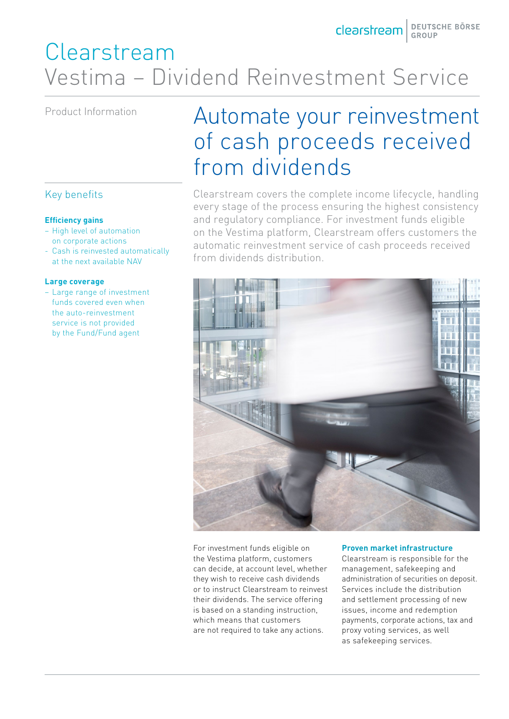# Clearstream Vestima – Dividend Reinvestment Service

### Key benefits

### **Efficiency gains**

- High level of automation on corporate actions
- Cash is reinvested automatically at the next available NAV

### **Large coverage**

– Large range of investment funds covered even when the auto-reinvestment service is not provided by the Fund/Fund agent

# Product Information Automate your reinvestment of cash proceeds received from dividends

Clearstream covers the complete income lifecycle, handling every stage of the process ensuring the highest consistency and regulatory compliance. For investment funds eligible on the Vestima platform, Clearstream offers customers the automatic reinvestment service of cash proceeds received from dividends distribution.



For investment funds eligible on the Vestima platform, customers can decide, at account level, whether they wish to receive cash dividends or to instruct Clearstream to reinvest their dividends. The service offering is based on a standing instruction, which means that customers are not required to take any actions.

#### **Proven market infrastructure**

Clearstream is responsible for the management, safekeeping and administration of securities on deposit. Services include the distribution and settlement processing of new issues, income and redemption payments, corporate actions, tax and proxy voting services, as well as safekeeping services.